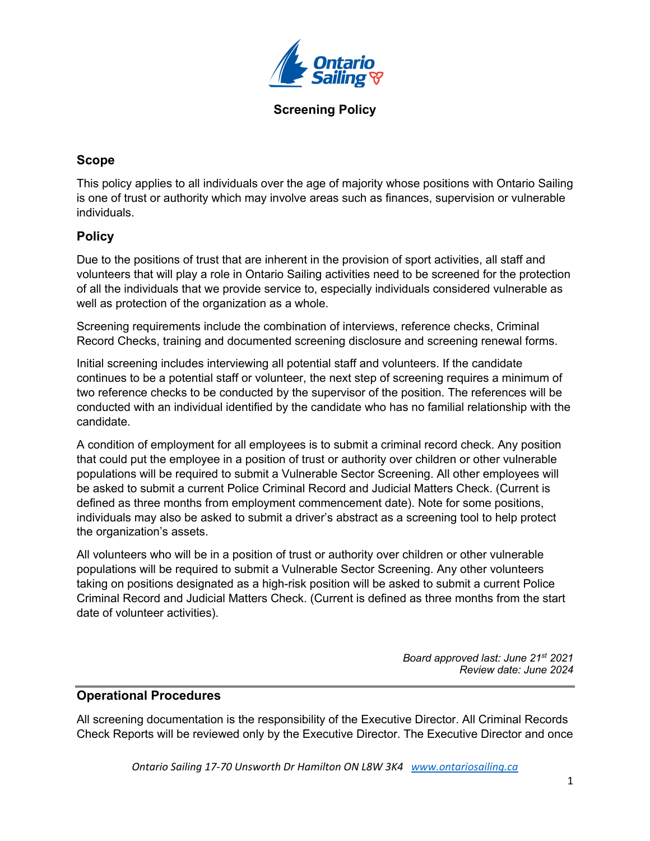

**Screening Policy**

## **Scope**

This policy applies to all individuals over the age of majority whose positions with Ontario Sailing is one of trust or authority which may involve areas such as finances, supervision or vulnerable individuals.

## **Policy**

Due to the positions of trust that are inherent in the provision of sport activities, all staff and volunteers that will play a role in Ontario Sailing activities need to be screened for the protection of all the individuals that we provide service to, especially individuals considered vulnerable as well as protection of the organization as a whole.

Screening requirements include the combination of interviews, reference checks, Criminal Record Checks, training and documented screening disclosure and screening renewal forms.

Initial screening includes interviewing all potential staff and volunteers. If the candidate continues to be a potential staff or volunteer, the next step of screening requires a minimum of two reference checks to be conducted by the supervisor of the position. The references will be conducted with an individual identified by the candidate who has no familial relationship with the candidate.

A condition of employment for all employees is to submit a criminal record check. Any position that could put the employee in a position of trust or authority over children or other vulnerable populations will be required to submit a Vulnerable Sector Screening. All other employees will be asked to submit a current Police Criminal Record and Judicial Matters Check. (Current is defined as three months from employment commencement date). Note for some positions, individuals may also be asked to submit a driver's abstract as a screening tool to help protect the organization's assets.

All volunteers who will be in a position of trust or authority over children or other vulnerable populations will be required to submit a Vulnerable Sector Screening. Any other volunteers taking on positions designated as a high-risk position will be asked to submit a current Police Criminal Record and Judicial Matters Check. (Current is defined as three months from the start date of volunteer activities).

> *Board approved last: June 21st 2021 Review date: June 2024*

## **Operational Procedures**

All screening documentation is the responsibility of the Executive Director. All Criminal Records Check Reports will be reviewed only by the Executive Director. The Executive Director and once

*Ontario Sailing 17-70 Unsworth Dr Hamilton ON L8W 3K4 www.ontariosailing.ca*